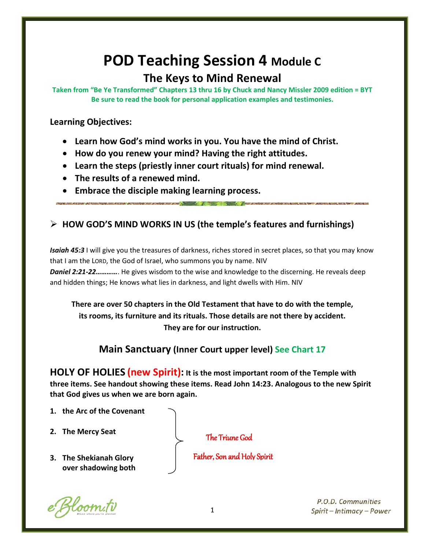# **POD Teaching Session 4 Module C**

# **The Keys to Mind Renewal**

**Taken from "Be Ye Transformed" Chapters 13 thru 16 by Chuck and Nancy Missler 2009 edition = BYT Be sure to read the book for personal application examples and testimonies.**

#### **Learning Objectives:**

- **Learn how God's mind works in you. You have the mind of Christ.**
- **How do you renew your mind? Having the right attitudes.**
- **Learn the steps (priestly inner court rituals) for mind renewal.**
- **The results of a renewed mind.**
- **Embrace the disciple making learning process.**

## **HOW GOD'S MIND WORKS IN US (the temple's features and furnishings)**

*Isaiah 45:3* I will give you the treasures of darkness, riches stored in secret places, so that you may know that I am the LORD, the God of Israel, who summons you by name. NIV *Daniel 2:21-22…………*. He gives wisdom to the wise and knowledge to the discerning. He reveals deep

and hidden things; He knows what lies in darkness, and light dwells with Him. NIV

**There are over 50 chapters in the Old Testament that have to do with the temple, its rooms, its furniture and its rituals. Those details are not there by accident. They are for our instruction.**

## **Main Sanctuary (Inner Court upper level) See Chart 17**

**HOLY OF HOLIES (new Spirit): It is the most important room of the Temple with three items. See handout showing these items. Read John 14:23. Analogous to the new Spirit that God gives us when we are born again.**

- **1. the Arc of the Covenant**
- **2. The Mercy Seat**
- **3. The Shekianah Glory over shadowing both**

Hoom.fi

The Triune God

Father, Son and Holy Spirit

P.O.D. Communities Spirit - Intimacy - Power

1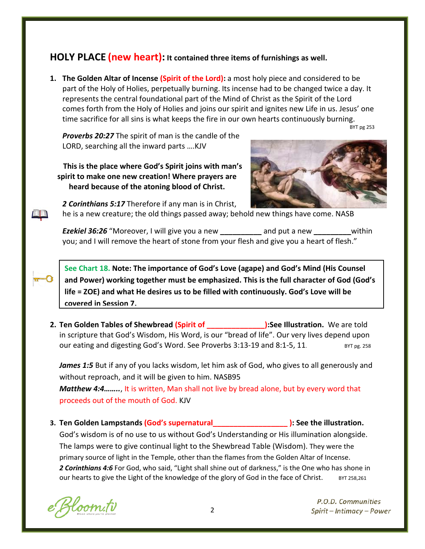## **HOLY PLACE (new heart): It contained three items of furnishings as well.**

**1. The Golden Altar of Incense (Spirit of the Lord):** a most holy piece and considered to be part of the Holy of Holies, perpetually burning. Its incense had to be changed twice a day. It represents the central foundational part of the Mind of Christ as the Spirit of the Lord comes forth from the Holy of Holies and joins our spirit and ignites new Life in us. Jesus' one time sacrifice for all sins is what keeps the fire in our own hearts continuously burning.

BYT pg 253

*Proverbs 20:27* The spirit of man is the candle of the LORD, searching all the inward parts ….KJV

 **This is the place where God's Spirit joins with man's spirit to make one new creation! Where prayers are heard because of the atoning blood of Christ.**



*2 Corinthians 5:17* Therefore if any man is in Christ,

he is a new creature; the old things passed away; behold new things have come. NASB

*Ezekiel 36:26* "Moreover, I will give you a new **\_\_\_\_\_\_\_\_\_\_** and put a new **\_\_\_\_\_\_\_\_\_**within you; and I will remove the heart of stone from your flesh and give you a heart of flesh."

**See Chart 18. Note: The importance of God's Love (agape) and God's Mind (His Counsel and Power) working together must be emphasized. This is the full character of God (God's life = ZOE) and what He desires us to be filled with continuously. God's Love will be covered in Session 7.**

**2. Ten Golden Tables of Shewbread (Spirit of \_\_\_\_\_\_\_\_\_\_\_\_\_\_):See Illustration.** We are told in scripture that God's Wisdom, His Word, is our "bread of life". Our very lives depend upon our eating and digesting God's Word. See Proverbs  $3:13-19$  and  $8:1-5$ ,  $11$ . BYT pg. 258

*James 1:5* But if any of you lacks wisdom, let him ask of God, who gives to all generously and without reproach, and it will be given to him. NASB95

*Matthew 4:4……..*, It is written, Man shall not live by bread alone, but by every word that proceeds out of the mouth of God. KJV

#### **3. Ten Golden Lampstands (God's supernatural\_\_\_\_\_\_\_\_\_\_\_\_\_\_\_\_\_\_ ): See the illustration.**

God's wisdom is of no use to us without God's Understanding or His illumination alongside. The lamps were to give continual light to the Shewbread Table (Wisdom). They were the primary source of light in the Temple, other than the flames from the Golden Altar of Incense. *2 Corinthians 4:6* For God, who said, "Light shall shine out of darkness," is the One who has shone in our hearts to give the Light of the knowledge of the glory of God in the face of Christ. BYT 258,261

Hoom.ti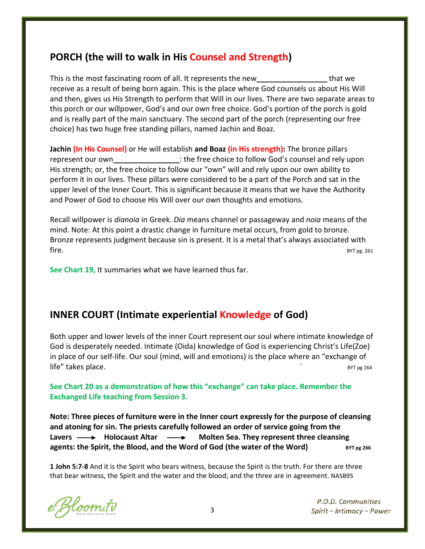## **PORCH (the will to walk in His Counsel and Strength)**

This is the most fascinating room of all. It represents the new**\_\_\_\_\_\_\_\_\_\_\_\_\_\_\_\_\_** that we receive as a result of being born again. This is the place where God counsels us about His Will and then, gives us His Strength to perform that Will in our lives. There are two separate areas to this porch or our willpower, God's and our own free choice. God's portion of the porch is gold and is really part of the main sanctuary. The second part of the porch (representing our free choice) has two huge free standing pillars, named Jachin and Boaz.

**Jachin (In His Counsel)** or He will establish **and Boaz (in His strength):** The bronze pillars represent our own**\_\_\_\_\_\_\_\_\_\_\_\_\_\_\_\_**: the free choice to follow God's counsel and rely upon His strength; or, the free choice to follow our "own" will and rely upon our own ability to perform it in our lives. These pillars were considered to be a part of the Porch and sat in the upper level of the Inner Court. This is significant because it means that we have the Authority and Power of God to choose His Will over our own thoughts and emotions.

Recall willpower is *dianoia* in Greek. *Dia* means channel or passageway and *noia* means of the mind. Note: At this point a drastic change in furniture metal occurs, from gold to bronze. Bronze represents judgment because sin is present. It is a metal that's always associated with  $fire.$ 

**See Chart 19,** It summaries what we have learned thus far.

## **INNER COURT (Intimate experiential Knowledge of God)**

Both upper and lower levels of the inner Court represent our soul where intimate knowledge of God is desperately needed. Intimate (Oida) knowledge of God is experiencing Christ's Life(Zoe) in place of our self-life. Our soul (mind, will and emotions) is the place where an "exchange of  $\frac{1}{2}$ life" takes place.

**See Chart 20 as a demonstration of how this "exchange" can take place. Remember the Exchanged Life teaching from Session 3.**

**Note: Three pieces of furniture were in the Inner court expressly for the purpose of cleansing and atoning for sin. The priests carefully followed an order of service going from the**  Lavers **- S** Holocaust Altar **- S** Molten Sea. They represent three cleansing **agents: the Spirit, the Blood, and the Word of God (the water of the Word)** BYT PE 266

**1 John 5:7-8** And it is the Spirit who bears witness, because the Spirit is the truth. For there are three that bear witness, the Spirit and the water and the blood; and the three are in agreement. NASB95

e Bloom.tv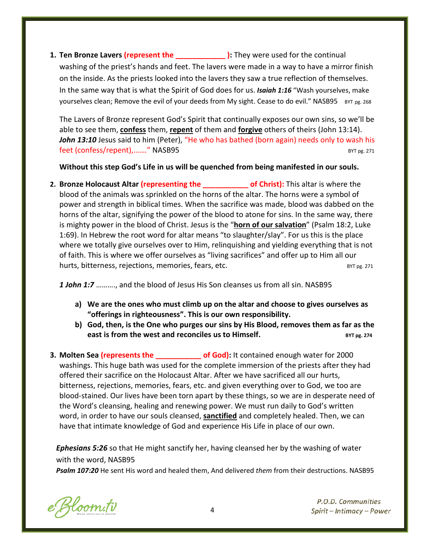**1. Ten Bronze Lavers (represent the \_\_\_\_\_\_\_\_\_\_\_\_ ):** They were used for the continual washing of the priest's hands and feet. The lavers were made in a way to have a mirror finish on the inside. As the priests looked into the lavers they saw a true reflection of themselves. In the same way that is what the Spirit of God does for us. *Isaiah 1:16* "Wash yourselves, make yourselves clean; Remove the evil of your deeds from My sight. Cease to do evil." NASB95 BYT pg. 268

The Lavers of Bronze represent God's Spirit that continually exposes our own sins, so we'll be able to see them, **confess** them, **repent** of them and **forgive** others of theirs (John 13:14). John 13:10 Jesus said to him (Peter), "He who has bathed (born again) needs only to wash his feet (confess/repent),......." NASB95 BYT pg. 271

**Without this step God's Life in us will be quenched from being manifested in our souls.**

**2. Bronze Holocaust Altar (representing the \_\_\_\_\_\_\_\_\_\_\_ of Christ):** This altar is where the blood of the animals was sprinkled on the horns of the altar. The horns were a symbol of power and strength in biblical times. When the sacrifice was made, blood was dabbed on the horns of the altar, signifying the power of the blood to atone for sins. In the same way, there is mighty power in the blood of Christ. Jesus is the "**horn of our salvation**" (Psalm 18:2, Luke 1:69). In Hebrew the root word for altar means "to slaughter/slay". For us this is the place where we totally give ourselves over to Him, relinquishing and yielding everything that is not of faith. This is where we offer ourselves as "living sacrifices" and offer up to Him all our hurts, bitterness, rejections, memories, fears, etc. BYT pg. 271 BYT pg. 271

*1 John 1:7* ………., and the blood of Jesus His Son cleanses us from all sin. NASB95

- **a) We are the ones who must climb up on the altar and choose to gives ourselves as "offerings in righteousness". This is our own responsibility.**
- **b) God, then, is the One who purges our sins by His Blood, removes them as far as the east is from the west and reconciles us to Himself.** BY The BYT pg. 274

**3. Molten Sea (represents the \_\_\_\_\_\_\_\_\_\_\_ of God):** It contained enough water for 2000 washings. This huge bath was used for the complete immersion of the priests after they had offered their sacrifice on the Holocaust Altar. After we have sacrificed all our hurts, bitterness, rejections, memories, fears, etc. and given everything over to God, we too are blood-stained. Our lives have been torn apart by these things, so we are in desperate need of the Word's cleansing, healing and renewing power. We must run daily to God's written word, in order to have our souls cleansed, **sanctified** and completely healed. Then, we can have that intimate knowledge of God and experience His Life in place of our own.

*Ephesians 5:26* so that He might sanctify her, having cleansed her by the washing of water with the word, NASB95

*Psalm 107:20* He sent His word and healed them, And delivered *them* from their destructions. NASB95

e Bloom.tv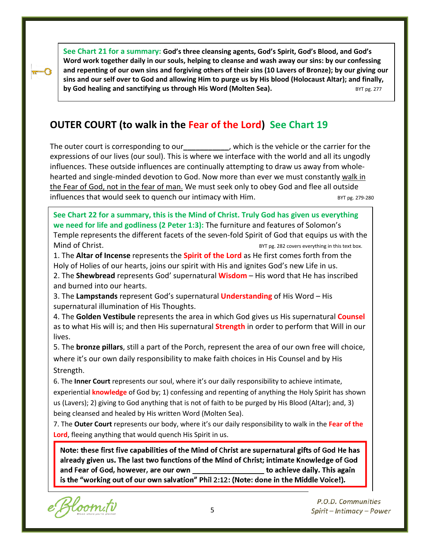**See Chart 21 for a summary: God's three cleansing agents, God's Spirit, God's Blood, and God's Word work together daily in our souls, helping to cleanse and wash away our sins: by our confessing and repenting of our own sins and forgiving others of their sins (10 Lavers of Bronze); by our giving our sins and our self over to God and allowing Him to purge us by His blood (Holocaust Altar); and finally, by God healing and sanctifying us through His Word (Molten Sea). BYDEN BYT PRESS AND A BYT PR. 277** 

## **OUTER COURT (to walk in the Fear of the Lord) See Chart 19**

The outer court is corresponding to our**\_\_\_\_\_\_\_\_\_\_\_**, which is the vehicle or the carrier for the expressions of our lives (our soul). This is where we interface with the world and all its ungodly influences. These outside influences are continually attempting to draw us away from wholehearted and single-minded devotion to God. Now more than ever we must constantly walk in the Fear of God, not in the fear of man. We must seek only to obey God and flee all outside influences that would seek to quench our intimacy with Him.  $BYT_{PI}$ ,  $279-280$ 

**See Chart 22 for a summary, this is the Mind of Christ. Truly God has given us everything we need for life and godliness (2 Peter 1:3):** The furniture and features of Solomon's Temple represents the different facets of the seven-fold Spirit of God that equips us with the Mind of Christ. BYT pg. 282 covers everything in this text box.

1. The **Altar of Incense** represents the **Spirit of the Lord** as He first comes forth from the Holy of Holies of our hearts, joins our spirit with His and ignites God's new Life in us.

2. The **Shewbread** represents God' supernatural **Wisdom** – His word that He has inscribed and burned into our hearts.

3. The **Lampstands** represent God's supernatural **Understanding** of His Word – His supernatural illumination of His Thoughts.

4. The **Golden Vestibule** represents the area in which God gives us His supernatural **Counsel** as to what His will is; and then His supernatural **Strength** in order to perform that Will in our lives.

5. The **bronze pillars**, still a part of the Porch, represent the area of our own free will choice, where it's our own daily responsibility to make faith choices in His Counsel and by His Strength.

6. The **Inner Court** represents our soul, where it's our daily responsibility to achieve intimate, experiential **knowledge** of God by; 1) confessing and repenting of anything the Holy Spirit has shown us (Lavers); 2) giving to God anything that is not of faith to be purged by His Blood (Altar); and, 3) being cleansed and healed by His written Word (Molten Sea).

7. The **Outer Court** represents our body, where it's our daily responsibility to walk in the **Fear of the Lord**, fleeing anything that would quench His Spirit in us.

Note: these first five capabilities of the Mind of Christ are supernatural gifts of God He has already given us. The last two functions of the Mind of Christ; intimate Knowledge of God to achieve daily. This again is the "working out of our own salvation" Phil 2:12: (Note: done in the Middle Voice!).

Hoom.ti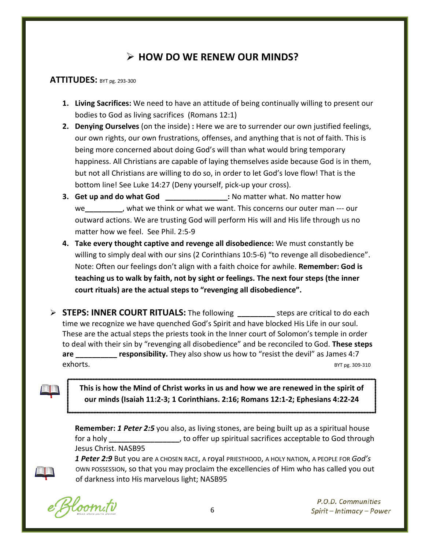# **HOW DO WE RENEW OUR MINDS?**

#### **ATTITUDES:** BYT pg. 293-300

- **1. Living Sacrifices:** We need to have an attitude of being continually willing to present our bodies to God as living sacrifices (Romans 12:1)
- **2. Denying Ourselves** (on the inside) **:** Here we are to surrender our own justified feelings, our own rights, our own frustrations, offenses, and anything that is not of faith. This is being more concerned about doing God's will than what would bring temporary happiness. All Christians are capable of laying themselves aside because God is in them, but not all Christians are willing to do so, in order to let God's love flow! That is the bottom line! See Luke 14:27 (Deny yourself, pick-up your cross).
- **3. Get up and do what God \_\_\_\_\_\_\_\_\_\_\_\_\_\_\_:** No matter what. No matter how we**\_\_\_\_\_\_\_\_\_**, what we think or what we want. This concerns our outer man --- our outward actions. We are trusting God will perform His will and His life through us no matter how we feel. See Phil. 2:5-9
- **4. Take every thought captive and revenge all disobedience:** We must constantly be willing to simply deal with our sins (2 Corinthians 10:5-6) "to revenge all disobedience". Note: Often our feelings don't align with a faith choice for awhile. **Remember: God is teaching us to walk by faith, not by sight or feelings. The next four steps (the inner court rituals) are the actual steps to "revenging all disobedience".**
- **STEPS: INNER COURT RITUALS:** The following **\_\_\_\_\_\_\_\_\_** steps are critical to do each time we recognize we have quenched God's Spirit and have blocked His Life in our soul. These are the actual steps the priests took in the Inner court of Solomon's temple in order to deal with their sin by "revenging all disobedience" and be reconciled to God. **These steps are \_\_\_\_\_\_\_\_\_\_ responsibility.** They also show us how to "resist the devil" as James 4:7  $exhorts.$

**This is how the Mind of Christ works in us and how we are renewed in the spirit of our minds (Isaiah 11:2-3; 1 Corinthians. 2:16; Romans 12:1-2; Ephesians 4:22-24**

**Remember:** *1 Peter 2:5* you also, as living stones, are being built up as a spiritual house for a holy **the summany**, to offer up spiritual sacrifices acceptable to God through Jesus Christ. NASB95

*1 Peter 2:9* But you are A CHOSEN RACE, A royal PRIESTHOOD, A HOLY NATION, A PEOPLE FOR *God's* OWN POSSESSION, so that you may proclaim the excellencies of Him who has called you out of darkness into His marvelous light; NASB95

Hoom.fv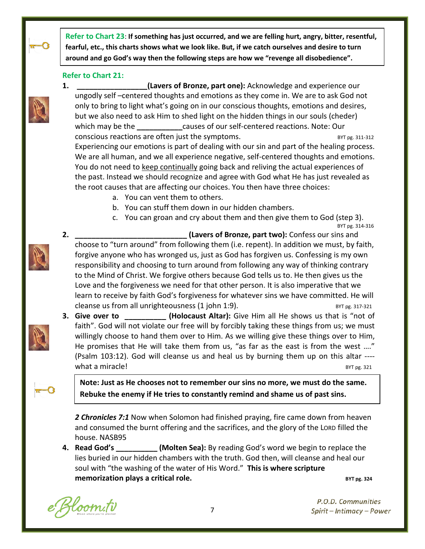**Refer to Chart 23**: **If something has just occurred, and we are felling hurt, angry, bitter, resentful, fearful, etc., this charts shows what we look like. But, if we catch ourselves and desire to turn around and go God's way then the following steps are how we "revenge all disobedience".**

**1. \_\_\_\_\_\_\_\_\_\_\_\_\_\_\_\_\_(Lavers of Bronze, part one):** Acknowledge and experience our

#### **Refer to Chart 21:**

ungodly self –centered thoughts and emotions as they come in. We are to ask God not only to bring to light what's going on in our conscious thoughts, emotions and desires, but we also need to ask Him to shed light on the hidden things in our souls (cheder) which may be the **causes of our self-centered reactions. Note: Our** conscious reactions are often just the symptoms.  $BYT_{pq}$ .  $BYT_{pq}$ . 311-312 Experiencing our emotions is part of dealing with our sin and part of the healing process. We are all human, and we all experience negative, self-centered thoughts and emotions. You do not need to keep continually going back and reliving the actual experiences of the past. Instead we should recognize and agree with God what He has just revealed as the root causes that are affecting our choices. You then have three choices:

- a. You can vent them to others.
- b. You can stuff them down in our hidden chambers.
- c. You can groan and cry about them and then give them to God (step 3).<br>BYT pg. 314-316

- **2. \_\_\_\_\_\_\_\_\_\_\_\_\_\_\_\_\_\_\_\_\_\_\_\_\_\_\_ (Lavers of Bronze, part two):** Confess our sins and choose to "turn around" from following them (i.e. repent). In addition we must, by faith, forgive anyone who has wronged us, just as God has forgiven us. Confessing is my own responsibility and choosing to turn around from following any way of thinking contrary to the Mind of Christ. We forgive others because God tells us to. He then gives us the Love and the forgiveness we need for that other person. It is also imperative that we learn to receive by faith God's forgiveness for whatever sins we have committed. He will cleanse us from all unrighteousness  $(1$  john 1:9). BYT pg. 317-321
- **3. Give over to <b>Secu** (Holocaust Altar): Give Him all He shows us that is "not of faith". God will not violate our free will by forcibly taking these things from us; we must willingly choose to hand them over to Him. As we willing give these things over to Him, He promises that He will take them from us, "as far as the east is from the west …." (Psalm 103:12). God will cleanse us and heal us by burning them up on this altar --- what a miracle!  $BYT$  pg. 321

**Note: Just as He chooses not to remember our sins no more, we must do the same. Rebuke the enemy if He tries to constantly remind and shame us of past sins.**

*2 Chronicles 7:1* Now when Solomon had finished praying, fire came down from heaven and consumed the burnt offering and the sacrifices, and the glory of the LORD filled the house. NASB95

**4. Read God's \_\_\_\_\_\_\_\_\_\_ (Molten Sea):** By reading God's word we begin to replace the lies buried in our hidden chambers with the truth. God then, will cleanse and heal our soul with "the washing of the water of His Word." **This is where scripture memorization plays a critical role.** BYT pg. 324

Hoom.tv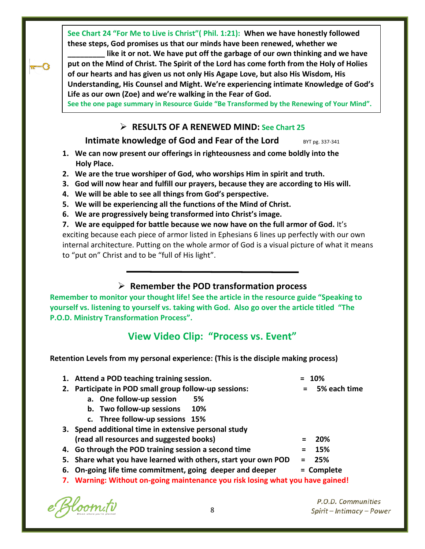**See Chart 24 "For Me to Live is Christ"( Phil. 1:21): When we have honestly followed these steps, God promises us that our minds have been renewed, whether we** 

like it or not. We have put off the garbage of our own thinking and we have **put on the Mind of Christ. The Spirit of the Lord has come forth from the Holy of Holies of our hearts and has given us not only His Agape Love, but also His Wisdom, His Understanding, His Counsel and Might. We're experiencing intimate Knowledge of God's Life as our own (Zoe) and we're walking in the Fear of God.** 

**See the one page summary in Resource Guide "Be Transformed by the Renewing of Your Mind".**

#### **RESULTS OF A RENEWED MIND: See Chart 25**

**Intimate knowledge of God and Fear of the Lord** BYT pg. 337-341

- **1. We can now present our offerings in righteousness and come boldly into the Holy Place.**
- **2. We are the true worshiper of God, who worships Him in spirit and truth.**
- **3. God will now hear and fulfill our prayers, because they are according to His will.**
- **4. We will be able to see all things from God's perspective.**
- **5. We will be experiencing all the functions of the Mind of Christ.**
- **6. We are progressively being transformed into Christ's image.**

**7. We are equipped for battle because we now have on the full armor of God.** It's exciting because each piece of armor listed in Ephesians 6 lines up perfectly with our own internal architecture. Putting on the whole armor of God is a visual picture of what it means to "put on" Christ and to be "full of His light".

#### **Remember the POD transformation process**

**Remember to monitor your thought life! See the article in the resource guide "Speaking to yourself vs. listening to yourself vs. taking with God. Also go over the article titled "The P.O.D. Ministry Transformation Process".**

## **View Video Clip: "Process vs. Event"**

**Retention Levels from my personal experience: (This is the disciple making process)**

|    | 1. Attend a POD teaching training session.                                     |     | $= 10\%$     |
|----|--------------------------------------------------------------------------------|-----|--------------|
| 2. | Participate in POD small group follow-up sessions:                             |     | 5% each time |
|    | a. One follow-up session<br>5%                                                 |     |              |
|    | b. Two follow-up sessions<br>10%                                               |     |              |
|    | c. Three follow-up sessions 15%                                                |     |              |
|    | 3. Spend additional time in extensive personal study                           |     |              |
|    | (read all resources and suggested books)                                       |     | 20%          |
|    | 4. Go through the POD training session a second time                           | =   | 15%          |
|    | 5. Share what you have learned with others, start your own POD                 | $=$ | 25%          |
|    | 6. On-going life time commitment, going deeper and deeper                      |     | = Complete   |
|    | 7. Warning: Without on-going maintenance you risk losing what you have gained! |     |              |

e Bloom.tv